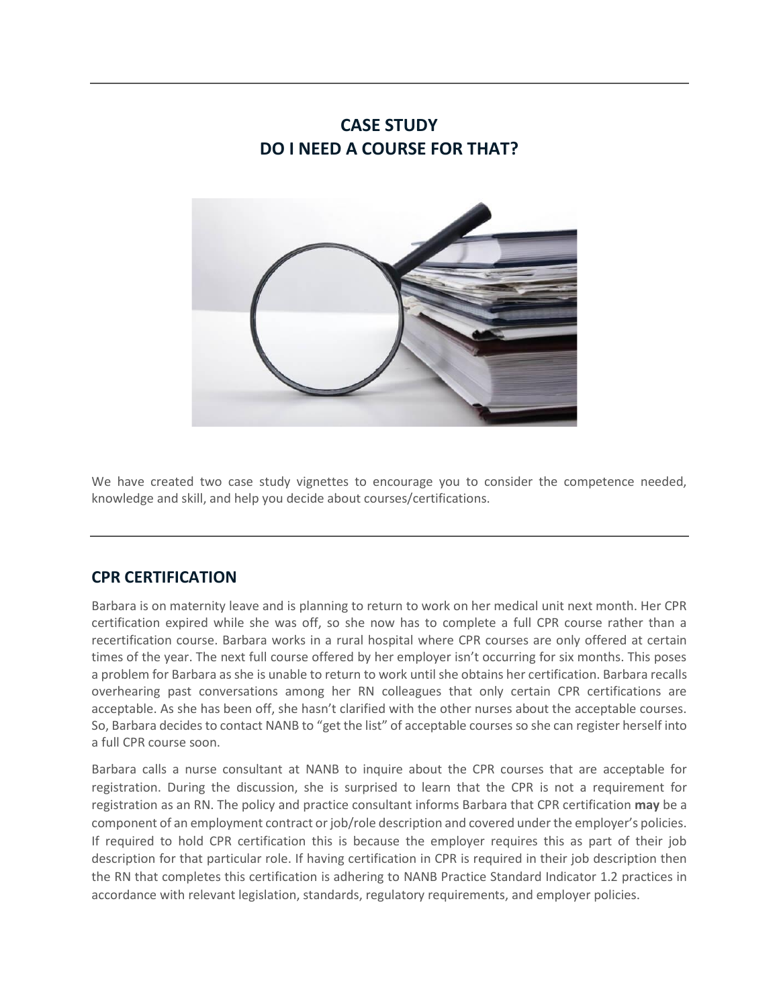## **CASE STUDY DO I NEED A COURSE FOR THAT?**



We have created two case study vignettes to encourage you to consider the competence needed, knowledge and skill, and help you decide about courses/certifications.

## **CPR CERTIFICATION**

Barbara is on maternity leave and is planning to return to work on her medical unit next month. Her CPR certification expired while she was off, so she now has to complete a full CPR course rather than a recertification course. Barbara works in a rural hospital where CPR courses are only offered at certain times of the year. The next full course offered by her employer isn't occurring for six months. This poses a problem for Barbara as she is unable to return to work until she obtains her certification. Barbara recalls overhearing past conversations among her RN colleagues that only certain CPR certifications are acceptable. As she has been off, she hasn't clarified with the other nurses about the acceptable courses. So, Barbara decides to contact NANB to "get the list" of acceptable courses so she can register herself into a full CPR course soon.

Barbara calls a nurse consultant at NANB to inquire about the CPR courses that are acceptable for registration. During the discussion, she is surprised to learn that the CPR is not a requirement for registration as an RN. The policy and practice consultant informs Barbara that CPR certification **may** be a component of an employment contract or job/role description and covered under the employer's policies. If required to hold CPR certification this is because the employer requires this as part of their job description for that particular role. If having certification in CPR is required in their job description then the RN that completes this certification is adhering to NANB Practice Standard Indicator 1.2 practices in accordance with relevant legislation, standards, regulatory requirements, and employer policies.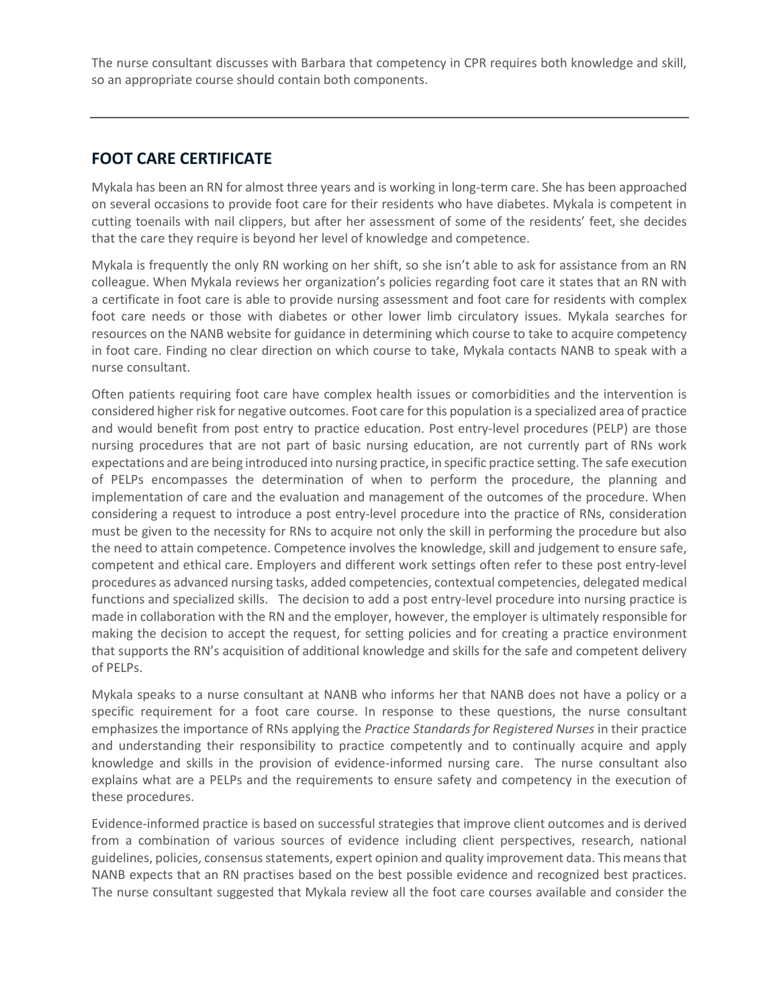The nurse consultant discusses with Barbara that competency in CPR requires both knowledge and skill, so an appropriate course should contain both components.

## **FOOT CARE CERTIFICATE**

Mykala has been an RN for almost three years and is working in long-term care. She has been approached on several occasions to provide foot care for their residents who have diabetes. Mykala is competent in cutting toenails with nail clippers, but after her assessment of some of the residents' feet, she decides that the care they require is beyond her level of knowledge and competence.

Mykala is frequently the only RN working on her shift, so she isn't able to ask for assistance from an RN colleague. When Mykala reviews her organization's policies regarding foot care it states that an RN with a certificate in foot care is able to provide nursing assessment and foot care for residents with complex foot care needs or those with diabetes or other lower limb circulatory issues. Mykala searches for resources on the NANB website for guidance in determining which course to take to acquire competency in foot care. Finding no clear direction on which course to take, Mykala contacts NANB to speak with a nurse consultant.

Often patients requiring foot care have complex health issues or comorbidities and the intervention is considered higher risk for negative outcomes. Foot care for this population is a specialized area of practice and would benefit from post entry to practice education. Post entry-level procedures (PELP) are those nursing procedures that are not part of basic nursing education, are not currently part of RNs work expectations and are being introduced into nursing practice, in specific practice setting. The safe execution of PELPs encompasses the determination of when to perform the procedure, the planning and implementation of care and the evaluation and management of the outcomes of the procedure. When considering a request to introduce a post entry‐level procedure into the practice of RNs, consideration must be given to the necessity for RNs to acquire not only the skill in performing the procedure but also the need to attain competence. Competence involves the knowledge, skill and judgement to ensure safe, competent and ethical care. Employers and different work settings often refer to these post entry-level procedures as advanced nursing tasks, added competencies, contextual competencies, delegated medical functions and specialized skills. The decision to add a post entry-level procedure into nursing practice is made in collaboration with the RN and the employer, however, the employer is ultimately responsible for making the decision to accept the request, for setting policies and for creating a practice environment that supports the RN's acquisition of additional knowledge and skills for the safe and competent delivery of PELPs.

Mykala speaks to a nurse consultant at NANB who informs her that NANB does not have a policy or a specific requirement for a foot care course. In response to these questions, the nurse consultant emphasizes the importance of RNs applying the *Practice Standards for Registered Nurses* in their practice and understanding their responsibility to practice competently and to continually acquire and apply knowledge and skills in the provision of evidence-informed nursing care. The nurse consultant also explains what are a PELPs and the requirements to ensure safety and competency in the execution of these procedures.

Evidence-informed practice is based on successful strategies that improve client outcomes and is derived from a combination of various sources of evidence including client perspectives, research, national guidelines, policies, consensus statements, expert opinion and quality improvement data. This means that NANB expects that an RN practises based on the best possible evidence and recognized best practices. The nurse consultant suggested that Mykala review all the foot care courses available and consider the